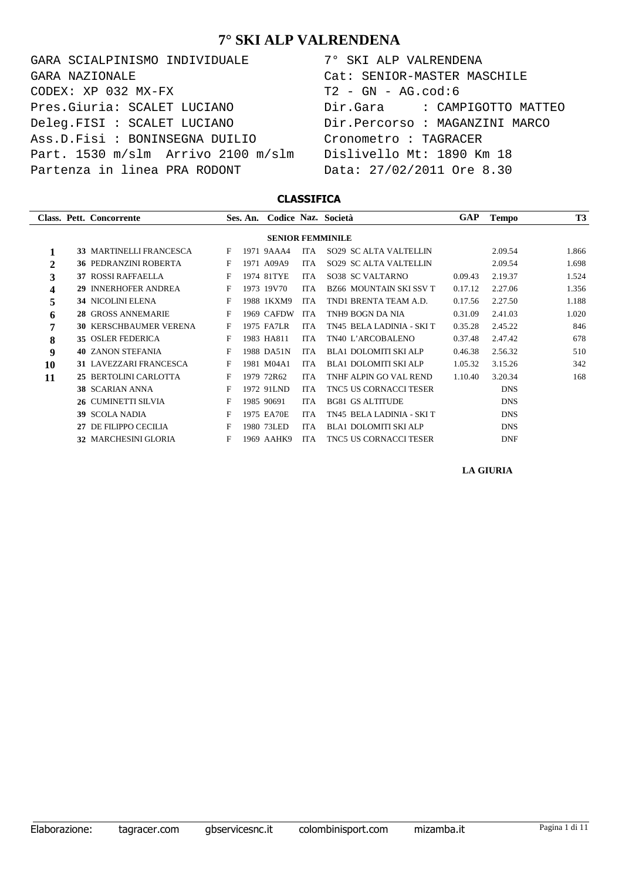GARA SCIALPINISMO INDIVIDUALE 7° SKI ALP VALRENDENA  $CODEX: XP 032 MX-FX$  T2 - GN - AG.cod:6 Pres.Giuria: SCALET LUCIANO Dir.Gara : CAMPIGOTTO MATTEO Deleg.FISI : SCALET LUCIANO Dir.Percorso : MAGANZINI MARCO Ass.D.Fisi : BONINSEGNA DUILIO Cronometro : TAGRACER Part. 1530 m/slm Arrivo 2100 m/slm Dislivello Mt: 1890 Km 18 Partenza in linea PRA RODONT Data: 27/02/2011 Ore 8.30 GARA NAZIONALE Cat: SENIOR-MASTER MASCHILE

#### **CLASSIFICA**

|              |    | Class. Pett. Concorrente      |   | Ses. An. Codice Naz. Società |            |                                | <b>GAP</b> | <b>Tempo</b> | <b>T3</b> |
|--------------|----|-------------------------------|---|------------------------------|------------|--------------------------------|------------|--------------|-----------|
|              |    |                               |   |                              |            | <b>SENIOR FEMMINILE</b>        |            |              |           |
| 1            |    | 33 MARTINELLI FRANCESCA       | F | 1971 9AAA4                   | ITA        | SO29 SC ALTA VALTELLIN         |            | 2.09.54      | 1.866     |
| $\mathbf{2}$ |    | <b>36 PEDRANZINI ROBERTA</b>  | F | 1971 A09A9                   | <b>ITA</b> | SO29 SC ALTA VALTELLIN         |            | 2.09.54      | 1.698     |
| 3            |    | <b>37 ROSSI RAFFAELLA</b>     | F | 1974 81TYE                   | <b>ITA</b> | SO38 SC VALTARNO               | 0.09.43    | 2.19.37      | 1.524     |
| 4            |    | 29 INNERHOFER ANDREA          | F | 1973 19V70                   | <b>ITA</b> | <b>BZ66 MOUNTAIN SKI SSV T</b> | 0.17.12    | 2.27.06      | 1.356     |
| 5            |    | <b>34 NICOLINI ELENA</b>      | F | 1988 1KXM9                   | <b>ITA</b> | TND1 BRENTA TEAM A.D.          | 0.17.56    | 2.27.50      | 1.188     |
| 6            |    | 28 GROSS ANNEMARIE            | F | 1969 CAFDW                   | <b>ITA</b> | TNH9 BOGN DA NIA               | 0.31.09    | 2.41.03      | 1.020     |
| 7            |    | <b>30 KERSCHBAUMER VERENA</b> | F | 1975 FA7LR                   | <b>ITA</b> | TN45 BELA LADINIA - SKI T      | 0.35.28    | 2.45.22      | 846       |
| 8            |    | 35 OSLER FEDERICA             | F | 1983 HA811                   | <b>ITA</b> | TN40 L'ARCOBALENO              | 0.37.48    | 2.47.42      | 678       |
| 9            |    | <b>40 ZANON STEFANIA</b>      | F | 1988 DA51N                   | <b>ITA</b> | <b>BLA1 DOLOMITI SKI ALP</b>   | 0.46.38    | 2.56.32      | 510       |
| 10           |    | 31 LAVEZZARI FRANCESCA        | F | 1981 M04A1                   | <b>ITA</b> | <b>BLA1 DOLOMITI SKI ALP</b>   | 1.05.32    | 3.15.26      | 342       |
| 11           |    | 25 BERTOLINI CARLOTTA         | F | 1979 72R62                   | <b>ITA</b> | TNHF ALPIN GO VAL REND         | 1.10.40    | 3.20.34      | 168       |
|              |    | 38 SCARIAN ANNA               | F | 1972 91LND                   | <b>ITA</b> | <b>TNC5 US CORNACCI TESER</b>  |            | <b>DNS</b>   |           |
|              |    | 26 CUMINETTI SILVIA           | F | 1985 90691                   | <b>ITA</b> | <b>BG81 GS ALTITUDE</b>        |            | <b>DNS</b>   |           |
|              |    | <b>39 SCOLA NADIA</b>         | F | 1975 EA70E                   | <b>ITA</b> | TN45 BELA LADINIA - SKI T      |            | <b>DNS</b>   |           |
|              | 27 | DE FILIPPO CECILIA            | F | 1980 73LED                   | <b>ITA</b> | <b>BLA1 DOLOMITI SKI ALP</b>   |            | <b>DNS</b>   |           |
|              |    | 32 MARCHESINI GLORIA          | F | 1969 AAHK9                   | <b>ITA</b> | TNC5 US CORNACCI TESER         |            | <b>DNF</b>   |           |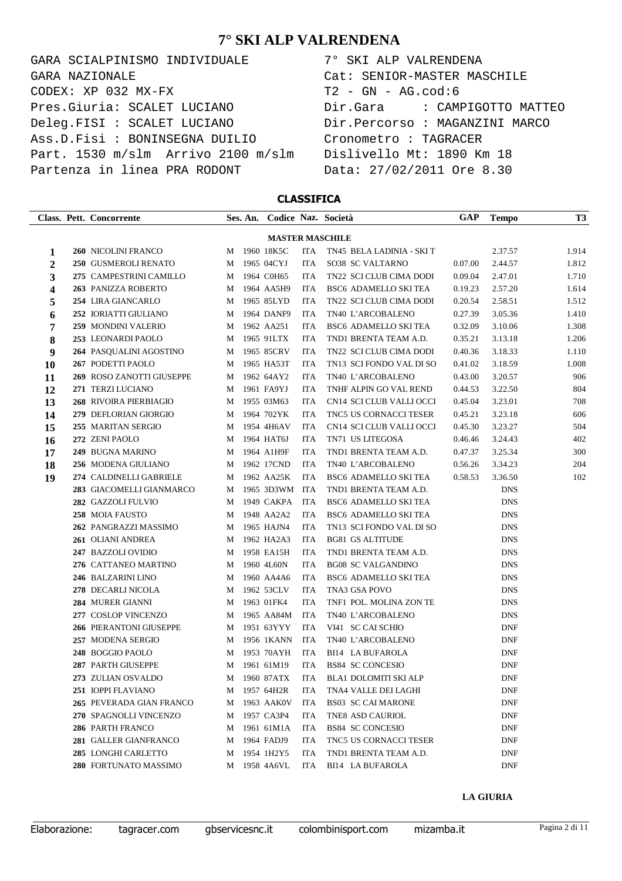GARA SCIALPINISMO INDIVIDUALE 7° SKI ALP VALRENDENA  $\texttt{CODEX}: \texttt{XP}$  032 MX-FX  $\texttt{T2 - GN - AG.cod:6}$ Pres.Giuria: SCALET LUCIANO Dir.Gara : CAMPIGOTTO MATTEO Deleg.FISI : SCALET LUCIANO Dir.Percorso : MAGANZINI MARCO Ass.D.Fisi : BONINSEGNA DUILIO Cronometro : TAGRACER Part. 1530 m/slm Arrivo 2100 m/slm Dislivello Mt: 1890 Km 18 Partenza in linea PRA RODONT Data: 27/02/2011 Ore 8.30 GARA NAZIONALE Cat: SENIOR-MASTER MASCHILE

#### **CLASSIFICA**

|  |                                                                                                                                                                                                                                                                                                                                                                                                                                                                                                                                                                                                                                                                                                                                                                                                                                                                                                                                                                                                                                                    |  |                                                                                                                                                                                                                                                                                                                                                                                                                                                                                                                                                                                                                                      |                           | <b>GAP</b>                                                                 | <b>Tempo</b> | T3      |
|--|----------------------------------------------------------------------------------------------------------------------------------------------------------------------------------------------------------------------------------------------------------------------------------------------------------------------------------------------------------------------------------------------------------------------------------------------------------------------------------------------------------------------------------------------------------------------------------------------------------------------------------------------------------------------------------------------------------------------------------------------------------------------------------------------------------------------------------------------------------------------------------------------------------------------------------------------------------------------------------------------------------------------------------------------------|--|--------------------------------------------------------------------------------------------------------------------------------------------------------------------------------------------------------------------------------------------------------------------------------------------------------------------------------------------------------------------------------------------------------------------------------------------------------------------------------------------------------------------------------------------------------------------------------------------------------------------------------------|---------------------------|----------------------------------------------------------------------------|--------------|---------|
|  |                                                                                                                                                                                                                                                                                                                                                                                                                                                                                                                                                                                                                                                                                                                                                                                                                                                                                                                                                                                                                                                    |  |                                                                                                                                                                                                                                                                                                                                                                                                                                                                                                                                                                                                                                      |                           |                                                                            |              |         |
|  | M                                                                                                                                                                                                                                                                                                                                                                                                                                                                                                                                                                                                                                                                                                                                                                                                                                                                                                                                                                                                                                                  |  | <b>ITA</b>                                                                                                                                                                                                                                                                                                                                                                                                                                                                                                                                                                                                                           | TN45 BELA LADINIA - SKI T |                                                                            |              | 1.914   |
|  | М                                                                                                                                                                                                                                                                                                                                                                                                                                                                                                                                                                                                                                                                                                                                                                                                                                                                                                                                                                                                                                                  |  | <b>ITA</b>                                                                                                                                                                                                                                                                                                                                                                                                                                                                                                                                                                                                                           | SO38 SC VALTARNO          | 0.07.00                                                                    | 2.44.57      | 1.812   |
|  | М                                                                                                                                                                                                                                                                                                                                                                                                                                                                                                                                                                                                                                                                                                                                                                                                                                                                                                                                                                                                                                                  |  | <b>ITA</b>                                                                                                                                                                                                                                                                                                                                                                                                                                                                                                                                                                                                                           | TN22 SCI CLUB CIMA DODI   | 0.09.04                                                                    | 2.47.01      | 1.710   |
|  | М                                                                                                                                                                                                                                                                                                                                                                                                                                                                                                                                                                                                                                                                                                                                                                                                                                                                                                                                                                                                                                                  |  | <b>ITA</b>                                                                                                                                                                                                                                                                                                                                                                                                                                                                                                                                                                                                                           | BSC6 ADAMELLO SKI TEA     | 0.19.23                                                                    | 2.57.20      | 1.614   |
|  | М                                                                                                                                                                                                                                                                                                                                                                                                                                                                                                                                                                                                                                                                                                                                                                                                                                                                                                                                                                                                                                                  |  | <b>ITA</b>                                                                                                                                                                                                                                                                                                                                                                                                                                                                                                                                                                                                                           | TN22 SCI CLUB CIMA DODI   | 0.20.54                                                                    | 2.58.51      | 1.512   |
|  | М                                                                                                                                                                                                                                                                                                                                                                                                                                                                                                                                                                                                                                                                                                                                                                                                                                                                                                                                                                                                                                                  |  | <b>ITA</b>                                                                                                                                                                                                                                                                                                                                                                                                                                                                                                                                                                                                                           | TN40 L'ARCOBALENO         | 0.27.39                                                                    | 3.05.36      | 1.410   |
|  | М                                                                                                                                                                                                                                                                                                                                                                                                                                                                                                                                                                                                                                                                                                                                                                                                                                                                                                                                                                                                                                                  |  | ITA                                                                                                                                                                                                                                                                                                                                                                                                                                                                                                                                                                                                                                  | BSC6 ADAMELLO SKI TEA     | 0.32.09                                                                    | 3.10.06      | 1.308   |
|  | М                                                                                                                                                                                                                                                                                                                                                                                                                                                                                                                                                                                                                                                                                                                                                                                                                                                                                                                                                                                                                                                  |  | <b>ITA</b>                                                                                                                                                                                                                                                                                                                                                                                                                                                                                                                                                                                                                           | TND1 BRENTA TEAM A.D.     | 0.35.21                                                                    | 3.13.18      | 1.206   |
|  | М                                                                                                                                                                                                                                                                                                                                                                                                                                                                                                                                                                                                                                                                                                                                                                                                                                                                                                                                                                                                                                                  |  | <b>ITA</b>                                                                                                                                                                                                                                                                                                                                                                                                                                                                                                                                                                                                                           | TN22 SCI CLUB CIMA DODI   | 0.40.36                                                                    | 3.18.33      | 1.110   |
|  | М                                                                                                                                                                                                                                                                                                                                                                                                                                                                                                                                                                                                                                                                                                                                                                                                                                                                                                                                                                                                                                                  |  | ITA                                                                                                                                                                                                                                                                                                                                                                                                                                                                                                                                                                                                                                  | TN13 SCI FONDO VAL DI SO  | 0.41.02                                                                    | 3.18.59      | 1.008   |
|  | М                                                                                                                                                                                                                                                                                                                                                                                                                                                                                                                                                                                                                                                                                                                                                                                                                                                                                                                                                                                                                                                  |  | <b>ITA</b>                                                                                                                                                                                                                                                                                                                                                                                                                                                                                                                                                                                                                           | TN40 L'ARCOBALENO         | 0.43.00                                                                    | 3.20.57      | 906     |
|  | М                                                                                                                                                                                                                                                                                                                                                                                                                                                                                                                                                                                                                                                                                                                                                                                                                                                                                                                                                                                                                                                  |  | <b>ITA</b>                                                                                                                                                                                                                                                                                                                                                                                                                                                                                                                                                                                                                           | TNHF ALPIN GO VAL REND    | 0.44.53                                                                    | 3.22.50      | 804     |
|  | М                                                                                                                                                                                                                                                                                                                                                                                                                                                                                                                                                                                                                                                                                                                                                                                                                                                                                                                                                                                                                                                  |  | <b>ITA</b>                                                                                                                                                                                                                                                                                                                                                                                                                                                                                                                                                                                                                           | CN14 SCI CLUB VALLI OCCI  | 0.45.04                                                                    | 3.23.01      | 708     |
|  | М                                                                                                                                                                                                                                                                                                                                                                                                                                                                                                                                                                                                                                                                                                                                                                                                                                                                                                                                                                                                                                                  |  | ITA                                                                                                                                                                                                                                                                                                                                                                                                                                                                                                                                                                                                                                  | TNC5 US CORNACCI TESER    | 0.45.21                                                                    | 3.23.18      | 606     |
|  | М                                                                                                                                                                                                                                                                                                                                                                                                                                                                                                                                                                                                                                                                                                                                                                                                                                                                                                                                                                                                                                                  |  | <b>ITA</b>                                                                                                                                                                                                                                                                                                                                                                                                                                                                                                                                                                                                                           | CN14 SCI CLUB VALLI OCCI  | 0.45.30                                                                    | 3.23.27      | 504     |
|  | М                                                                                                                                                                                                                                                                                                                                                                                                                                                                                                                                                                                                                                                                                                                                                                                                                                                                                                                                                                                                                                                  |  | <b>ITA</b>                                                                                                                                                                                                                                                                                                                                                                                                                                                                                                                                                                                                                           | TN71 US LITEGOSA          | 0.46.46                                                                    | 3.24.43      | 402     |
|  | М                                                                                                                                                                                                                                                                                                                                                                                                                                                                                                                                                                                                                                                                                                                                                                                                                                                                                                                                                                                                                                                  |  | <b>ITA</b>                                                                                                                                                                                                                                                                                                                                                                                                                                                                                                                                                                                                                           | TND1 BRENTA TEAM A.D.     | 0.47.37                                                                    | 3.25.34      | 300     |
|  | М                                                                                                                                                                                                                                                                                                                                                                                                                                                                                                                                                                                                                                                                                                                                                                                                                                                                                                                                                                                                                                                  |  | <b>ITA</b>                                                                                                                                                                                                                                                                                                                                                                                                                                                                                                                                                                                                                           | TN40 L'ARCOBALENO         | 0.56.26                                                                    | 3.34.23      | 204     |
|  | М                                                                                                                                                                                                                                                                                                                                                                                                                                                                                                                                                                                                                                                                                                                                                                                                                                                                                                                                                                                                                                                  |  | <b>ITA</b>                                                                                                                                                                                                                                                                                                                                                                                                                                                                                                                                                                                                                           | BSC6 ADAMELLO SKI TEA     | 0.58.53                                                                    | 3.36.50      | 102     |
|  | М                                                                                                                                                                                                                                                                                                                                                                                                                                                                                                                                                                                                                                                                                                                                                                                                                                                                                                                                                                                                                                                  |  | ITA                                                                                                                                                                                                                                                                                                                                                                                                                                                                                                                                                                                                                                  | TND1 BRENTA TEAM A.D.     |                                                                            | <b>DNS</b>   |         |
|  | М                                                                                                                                                                                                                                                                                                                                                                                                                                                                                                                                                                                                                                                                                                                                                                                                                                                                                                                                                                                                                                                  |  | <b>ITA</b>                                                                                                                                                                                                                                                                                                                                                                                                                                                                                                                                                                                                                           | BSC6 ADAMELLO SKI TEA     |                                                                            | <b>DNS</b>   |         |
|  | М                                                                                                                                                                                                                                                                                                                                                                                                                                                                                                                                                                                                                                                                                                                                                                                                                                                                                                                                                                                                                                                  |  | <b>ITA</b>                                                                                                                                                                                                                                                                                                                                                                                                                                                                                                                                                                                                                           | BSC6 ADAMELLO SKI TEA     |                                                                            | <b>DNS</b>   |         |
|  | М                                                                                                                                                                                                                                                                                                                                                                                                                                                                                                                                                                                                                                                                                                                                                                                                                                                                                                                                                                                                                                                  |  | <b>ITA</b>                                                                                                                                                                                                                                                                                                                                                                                                                                                                                                                                                                                                                           | TN13 SCI FONDO VAL DI SO  |                                                                            | <b>DNS</b>   |         |
|  | М                                                                                                                                                                                                                                                                                                                                                                                                                                                                                                                                                                                                                                                                                                                                                                                                                                                                                                                                                                                                                                                  |  | <b>ITA</b>                                                                                                                                                                                                                                                                                                                                                                                                                                                                                                                                                                                                                           | <b>BG81 GS ALTITUDE</b>   |                                                                            | <b>DNS</b>   |         |
|  | М                                                                                                                                                                                                                                                                                                                                                                                                                                                                                                                                                                                                                                                                                                                                                                                                                                                                                                                                                                                                                                                  |  | ITA                                                                                                                                                                                                                                                                                                                                                                                                                                                                                                                                                                                                                                  | TND1 BRENTA TEAM A.D.     |                                                                            | <b>DNS</b>   |         |
|  | М                                                                                                                                                                                                                                                                                                                                                                                                                                                                                                                                                                                                                                                                                                                                                                                                                                                                                                                                                                                                                                                  |  | <b>ITA</b>                                                                                                                                                                                                                                                                                                                                                                                                                                                                                                                                                                                                                           | <b>BG08 SC VALGANDINO</b> |                                                                            | <b>DNS</b>   |         |
|  | М                                                                                                                                                                                                                                                                                                                                                                                                                                                                                                                                                                                                                                                                                                                                                                                                                                                                                                                                                                                                                                                  |  | ITA                                                                                                                                                                                                                                                                                                                                                                                                                                                                                                                                                                                                                                  | BSC6 ADAMELLO SKI TEA     |                                                                            | <b>DNS</b>   |         |
|  | М                                                                                                                                                                                                                                                                                                                                                                                                                                                                                                                                                                                                                                                                                                                                                                                                                                                                                                                                                                                                                                                  |  | ITA                                                                                                                                                                                                                                                                                                                                                                                                                                                                                                                                                                                                                                  | TNA3 GSA POVO             |                                                                            | <b>DNS</b>   |         |
|  | М                                                                                                                                                                                                                                                                                                                                                                                                                                                                                                                                                                                                                                                                                                                                                                                                                                                                                                                                                                                                                                                  |  | ITA                                                                                                                                                                                                                                                                                                                                                                                                                                                                                                                                                                                                                                  | TNF1 POL. MOLINA ZON TE   |                                                                            | <b>DNS</b>   |         |
|  | М                                                                                                                                                                                                                                                                                                                                                                                                                                                                                                                                                                                                                                                                                                                                                                                                                                                                                                                                                                                                                                                  |  | <b>ITA</b>                                                                                                                                                                                                                                                                                                                                                                                                                                                                                                                                                                                                                           | TN40 L'ARCOBALENO         |                                                                            | <b>DNS</b>   |         |
|  | М                                                                                                                                                                                                                                                                                                                                                                                                                                                                                                                                                                                                                                                                                                                                                                                                                                                                                                                                                                                                                                                  |  | <b>ITA</b>                                                                                                                                                                                                                                                                                                                                                                                                                                                                                                                                                                                                                           | VI41 SC CAI SCHIO         |                                                                            | <b>DNF</b>   |         |
|  | М                                                                                                                                                                                                                                                                                                                                                                                                                                                                                                                                                                                                                                                                                                                                                                                                                                                                                                                                                                                                                                                  |  | <b>ITA</b>                                                                                                                                                                                                                                                                                                                                                                                                                                                                                                                                                                                                                           | TN40 L'ARCOBALENO         |                                                                            | <b>DNF</b>   |         |
|  | М                                                                                                                                                                                                                                                                                                                                                                                                                                                                                                                                                                                                                                                                                                                                                                                                                                                                                                                                                                                                                                                  |  | <b>ITA</b>                                                                                                                                                                                                                                                                                                                                                                                                                                                                                                                                                                                                                           | <b>BI14 LA BUFAROLA</b>   |                                                                            | <b>DNF</b>   |         |
|  | M                                                                                                                                                                                                                                                                                                                                                                                                                                                                                                                                                                                                                                                                                                                                                                                                                                                                                                                                                                                                                                                  |  | <b>ITA</b>                                                                                                                                                                                                                                                                                                                                                                                                                                                                                                                                                                                                                           | <b>BS84 SC CONCESIO</b>   |                                                                            | <b>DNF</b>   |         |
|  |                                                                                                                                                                                                                                                                                                                                                                                                                                                                                                                                                                                                                                                                                                                                                                                                                                                                                                                                                                                                                                                    |  |                                                                                                                                                                                                                                                                                                                                                                                                                                                                                                                                                                                                                                      |                           |                                                                            | <b>DNF</b>   |         |
|  |                                                                                                                                                                                                                                                                                                                                                                                                                                                                                                                                                                                                                                                                                                                                                                                                                                                                                                                                                                                                                                                    |  | ITA.                                                                                                                                                                                                                                                                                                                                                                                                                                                                                                                                                                                                                                 | TNA4 VALLE DEI LAGHI      |                                                                            | DNF          |         |
|  |                                                                                                                                                                                                                                                                                                                                                                                                                                                                                                                                                                                                                                                                                                                                                                                                                                                                                                                                                                                                                                                    |  | ITA                                                                                                                                                                                                                                                                                                                                                                                                                                                                                                                                                                                                                                  | <b>BS03 SC CAI MARONE</b> |                                                                            | <b>DNF</b>   |         |
|  |                                                                                                                                                                                                                                                                                                                                                                                                                                                                                                                                                                                                                                                                                                                                                                                                                                                                                                                                                                                                                                                    |  | <b>ITA</b>                                                                                                                                                                                                                                                                                                                                                                                                                                                                                                                                                                                                                           | TNE8 ASD CAURIOL          |                                                                            | <b>DNF</b>   |         |
|  |                                                                                                                                                                                                                                                                                                                                                                                                                                                                                                                                                                                                                                                                                                                                                                                                                                                                                                                                                                                                                                                    |  | ITA                                                                                                                                                                                                                                                                                                                                                                                                                                                                                                                                                                                                                                  | <b>BS84 SC CONCESIO</b>   |                                                                            | <b>DNF</b>   |         |
|  |                                                                                                                                                                                                                                                                                                                                                                                                                                                                                                                                                                                                                                                                                                                                                                                                                                                                                                                                                                                                                                                    |  | <b>ITA</b>                                                                                                                                                                                                                                                                                                                                                                                                                                                                                                                                                                                                                           | TNC5 US CORNACCI TESER    |                                                                            | <b>DNF</b>   |         |
|  |                                                                                                                                                                                                                                                                                                                                                                                                                                                                                                                                                                                                                                                                                                                                                                                                                                                                                                                                                                                                                                                    |  | <b>ITA</b>                                                                                                                                                                                                                                                                                                                                                                                                                                                                                                                                                                                                                           | TND1 BRENTA TEAM A.D.     |                                                                            | <b>DNF</b>   |         |
|  |                                                                                                                                                                                                                                                                                                                                                                                                                                                                                                                                                                                                                                                                                                                                                                                                                                                                                                                                                                                                                                                    |  | ITA                                                                                                                                                                                                                                                                                                                                                                                                                                                                                                                                                                                                                                  | BI14 LA BUFAROLA          |                                                                            | <b>DNF</b>   |         |
|  | Class. Pett. Concorrente<br>260 NICOLINI FRANCO<br>250 GUSMEROLI RENATO<br>275 CAMPESTRINI CAMILLO<br>263 PANIZZA ROBERTO<br>254 LIRA GIANCARLO<br>252 IORIATTI GIULIANO<br>259 MONDINI VALERIO<br>253 LEONARDI PAOLO<br>264 PASQUALINI AGOSTINO<br>267 PODETTI PAOLO<br>269 ROSO ZANOTTI GIUSEPPE<br>271 TERZI LUCIANO<br>268 RIVOIRA PIERBIAGIO<br>279 DEFLORIAN GIORGIO<br>255 MARITAN SERGIO<br>272 ZENI PAOLO<br>249 BUGNA MARINO<br>256 MODENA GIULIANO<br>274 CALDINELLI GABRIELE<br>283 GIACOMELLI GIANMARCO<br>282 GAZZOLI FULVIO<br>258 MOIA FAUSTO<br>262 PANGRAZZI MASSIMO<br>261 OLIANI ANDREA<br>247 BAZZOLI OVIDIO<br>276 CATTANEO MARTINO<br>246 BALZARINI LINO<br>278 DECARLI NICOLA<br>284 MURER GIANNI<br>277 COSLOP VINCENZO<br><b>266 PIERANTONI GIUSEPPE</b><br>257 MODENA SERGIO<br>248 BOGGIO PAOLO<br>287 PARTH GIUSEPPE<br>273   ZULIAN OSVALDO<br>251 IOPPI FLAVIANO<br>265 PEVERADA GIAN FRANCO<br>270 SPAGNOLLI VINCENZO<br>286 PARTH FRANCO<br>281 GALLER GIANFRANCO<br>285 LONGHI CARLETTO<br>280 FORTUNATO MASSIMO |  | Ses. An.<br>1960 18K5C<br>1965 04CYJ<br>1964 C0H65<br>1964 AA5H9<br>1965 85LYD<br>1964 DANF9<br>1962 AA251<br>1965 91LTX<br>1965 85CRV<br>1965 HA53T<br>1962 64AY2<br>1961 FA9YJ<br>1955 03M63<br>1964 702YK<br>1954 4H6AV<br>1964 HAT6J<br>1964 A1H9F<br>1962 17CND<br>1962 AA25K<br>1965 3D3WM<br>1949 CAKPA<br>1948 AA2A2<br>1965 HAJN4<br>1962 HA2A3<br>1958 EA15H<br>1960 4L60N<br>1960 AA4A6<br>1962 53CLV<br>1963 01FK4<br>1965 AA84M<br>1951 63YYY<br>1956 1KANN<br>1953 70AYH<br>1961 61M19<br>M 1960 87ATX<br>M 1957 64H2R<br>M 1963 AAK0V<br>M 1957 CA3P4<br>M 1961 61M1A<br>M 1964 FADJ9<br>M 1954 1H2Y5<br>M 1958 4A6VL |                           | Codice Naz. Società<br><b>MASTER MASCHILE</b><br>ITA BLA1 DOLOMITI SKI ALP |              | 2.37.57 |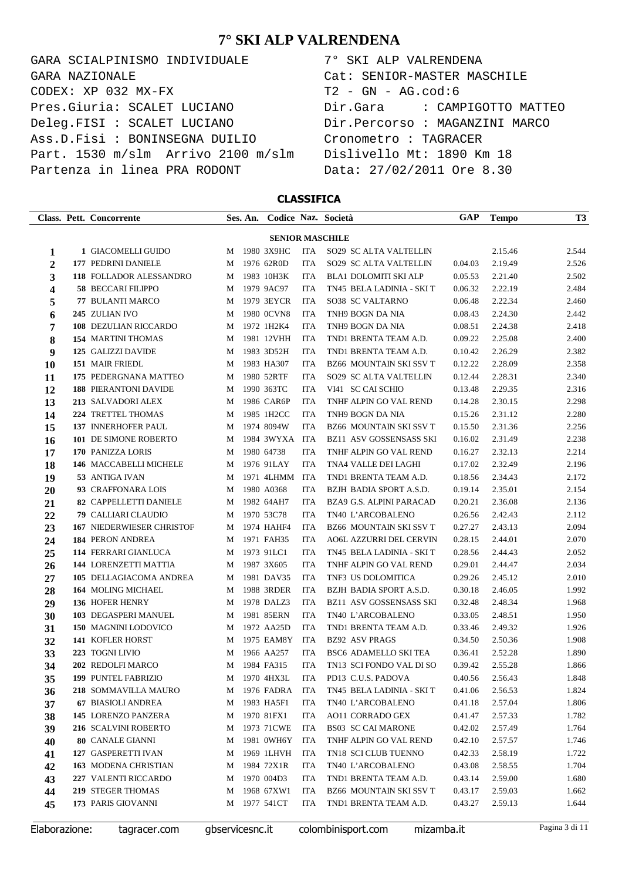GARA SCIALPINISMO INDIVIDUALE 7° SKI ALP VALRENDENA  $\texttt{CODEX}: \texttt{XP}$  032 MX-FX  $\texttt{T2 - GN - AG.cod:6}$ Pres.Giuria: SCALET LUCIANO Dir.Gara : CAMPIGOTTO MATTEO Deleg.FISI : SCALET LUCIANO Dir.Percorso : MAGANZINI MARCO Ass.D.Fisi : BONINSEGNA DUILIO Cronometro : TAGRACER Part. 1530 m/slm Arrivo 2100 m/slm Dislivello Mt: 1890 Km 18 Partenza in linea PRA RODONT Data: 27/02/2011 Ore 8.30 GARA NAZIONALE Cat: SENIOR-MASTER MASCHILE

#### **CLASSIFICA**

|                  |                        | Class. Pett. Concorrente                           |        | Ses. An. |                          |                          | Codice Naz. Società                            | GAP                | <b>Tempo</b>       | T3             |
|------------------|------------------------|----------------------------------------------------|--------|----------|--------------------------|--------------------------|------------------------------------------------|--------------------|--------------------|----------------|
|                  | <b>SENIOR MASCHILE</b> |                                                    |        |          |                          |                          |                                                |                    |                    |                |
| 1                |                        | 1 GIACOMELLI GUIDO                                 | М      |          | 1980 3X9HC               | <b>ITA</b>               | SO29 SC ALTA VALTELLIN                         |                    | 2.15.46            | 2.544          |
| $\boldsymbol{2}$ |                        | 177 PEDRINI DANIELE                                | М      |          | 1976 62R0D               | <b>ITA</b>               | SO29 SC ALTA VALTELLIN                         | 0.04.03            | 2.19.49            | 2.526          |
| 3                |                        | 118 FOLLADOR ALESSANDRO                            | М      |          | 1983 10H3K               | <b>ITA</b>               | <b>BLA1 DOLOMITI SKI ALP</b>                   | 0.05.53            | 2.21.40            | 2.502          |
| 4                |                        | 58 BECCARI FILIPPO                                 | М      |          | 1979 9AC97               | <b>ITA</b>               | TN45 BELA LADINIA - SKI T                      | 0.06.32            | 2.22.19            | 2.484          |
| 5                |                        | 77 BULANTI MARCO                                   | М      |          | 1979 3EYCR               | <b>ITA</b>               | SO38 SC VALTARNO                               | 0.06.48            | 2.22.34            | 2.460          |
| 6                |                        | 245 ZULIAN IVO                                     | М      |          | 1980 0CVN8               | <b>ITA</b>               | TNH9 BOGN DA NIA                               | 0.08.43            | 2.24.30            | 2.442          |
| 7                |                        | 108 DEZULIAN RICCARDO                              | М      |          | 1972 1H2K4               | <b>ITA</b>               | TNH9 BOGN DA NIA                               | 0.08.51            | 2.24.38            | 2.418          |
| 8                |                        | <b>154 MARTINI THOMAS</b>                          | М      |          | 1981 12VHH               | <b>ITA</b>               | TND1 BRENTA TEAM A.D.                          | 0.09.22            | 2.25.08            | 2.400          |
| 9                |                        | 125 GALIZZI DAVIDE                                 | М      |          | 1983 3D52H               | <b>ITA</b>               | TND1 BRENTA TEAM A.D.                          | 0.10.42            | 2.26.29            | 2.382          |
| 10               |                        | <b>151 MAIR FRIEDL</b>                             | М      |          | 1983 HA307               | <b>ITA</b>               | <b>BZ66 MOUNTAIN SKI SSV T</b>                 | 0.12.22            | 2.28.09            | 2.358          |
| 11               |                        | 175 PEDERGNANA MATTEO                              | М      |          | 1980 52RTF               | <b>ITA</b>               | SO29 SC ALTA VALTELLIN                         | 0.12.44            | 2.28.31            | 2.340          |
| 12               |                        | <b>188 PIERANTONI DAVIDE</b><br>213 SALVADORI ALEX | М      |          | 1990 363TC<br>1986 CAR6P | ITA<br><b>ITA</b>        | VI41 SC CAI SCHIO<br>TNHF ALPIN GO VAL REND    | 0.13.48<br>0.14.28 | 2.29.35            | 2.316<br>2.298 |
| 13               |                        | 224 TRETTEL THOMAS                                 | М<br>М |          | 1985 1H2CC               | <b>ITA</b>               | TNH9 BOGN DA NIA                               | 0.15.26            | 2.30.15<br>2.31.12 | 2.280          |
| 14<br>15         |                        | 137 INNERHOFER PAUL                                | М      |          | 1974 8094W               | <b>ITA</b>               | BZ66 MOUNTAIN SKI SSV T                        | 0.15.50            | 2.31.36            | 2.256          |
| 16               |                        | 101 DE SIMONE ROBERTO                              | М      |          | 1984 3WYXA               | ITA                      | <b>BZ11 ASV GOSSENSASS SKI</b>                 | 0.16.02            | 2.31.49            | 2.238          |
| 17               |                        | 170 PANIZZA LORIS                                  | М      |          | 1980 64738               | <b>ITA</b>               | TNHF ALPIN GO VAL REND                         | 0.16.27            | 2.32.13            | 2.214          |
| 18               |                        | 146 MACCABELLI MICHELE                             | М      |          | 1976 91LAY               | <b>ITA</b>               | TNA4 VALLE DEI LAGHI                           | 0.17.02            | 2.32.49            | 2.196          |
| 19               |                        | 53 ANTIGA IVAN                                     | М      |          | 1971 4LHMM               | ITA                      | TND1 BRENTA TEAM A.D.                          | 0.18.56            | 2.34.43            | 2.172          |
| 20               |                        | 93 CRAFFONARA LOIS                                 | М      |          | 1980 A0368               | ITA                      | BZJH BADIA SPORT A.S.D.                        | 0.19.14            | 2.35.01            | 2.154          |
| 21               |                        | 82 CAPPELLETTI DANIELE                             | М      |          | 1982 64AH7               | <b>ITA</b>               | BZA9 G.S. ALPINI PARACAD                       | 0.20.21            | 2.36.08            | 2.136          |
| 22               |                        | 79 CALLIARI CLAUDIO                                | М      |          | 1970 53C78               | <b>ITA</b>               | TN40 L'ARCOBALENO                              | 0.26.56            | 2.42.43            | 2.112          |
| 23               |                        | 167 NIEDERWIESER CHRISTOF                          | М      |          | 1974 HAHF4               | <b>ITA</b>               | <b>BZ66 MOUNTAIN SKI SSV T</b>                 | 0.27.27            | 2.43.13            | 2.094          |
| 24               |                        | <b>184 PERON ANDREA</b>                            | М      |          | 1971 FAH35               | <b>ITA</b>               | <b>AO6L AZZURRI DEL CERVIN</b>                 | 0.28.15            | 2.44.01            | 2.070          |
| 25               |                        | 114 FERRARI GIANLUCA                               | М      |          | 1973 91LC1               | <b>ITA</b>               | TN45 BELA LADINIA - SKI T                      | 0.28.56            | 2.44.43            | 2.052          |
| 26               |                        | 144 LORENZETTI MATTIA                              | М      |          | 1987 3X605               | <b>ITA</b>               | TNHF ALPIN GO VAL REND                         | 0.29.01            | 2.44.47            | 2.034          |
| 27               |                        | 105 DELLAGIACOMA ANDREA                            | М      |          | 1981 DAV35               | <b>ITA</b>               | TNF3 US DOLOMITICA                             | 0.29.26            | 2.45.12            | 2.010          |
| 28               |                        | <b>164 MOLING MICHAEL</b>                          | М      |          | 1988 3RDER               | ITA                      | BZJH BADIA SPORT A.S.D.                        | 0.30.18            | 2.46.05            | 1.992          |
| 29               |                        | 136 HOFER HENRY                                    | М      |          | 1978 DALZ3               | ITA                      | <b>BZ11 ASV GOSSENSASS SKI</b>                 | 0.32.48            | 2.48.34            | 1.968          |
| 30               |                        | 103 DEGASPERI MANUEL                               | М      |          | 1981 85ERN               | <b>ITA</b>               | TN40 L'ARCOBALENO                              | 0.33.05            | 2.48.51            | 1.950          |
| 31               |                        | 150 MAGNINI LODOVICO                               | М      |          | 1972 AA25D<br>1975 EAM8Y | <b>ITA</b><br><b>ITA</b> | TND1 BRENTA TEAM A.D.<br><b>BZ92 ASV PRAGS</b> | 0.33.46            | 2.49.32            | 1.926          |
| 32               |                        | 141 KOFLER HORST<br>223 TOGNI LIVIO                | М<br>М |          | 1966 AA257               | <b>ITA</b>               | BSC6 ADAMELLO SKI TEA                          | 0.34.50<br>0.36.41 | 2.50.36<br>2.52.28 | 1.908<br>1.890 |
| 33<br>34         |                        | 202 REDOLFI MARCO                                  | М      |          | 1984 FA315               | <b>ITA</b>               | TN13 SCI FONDO VAL DI SO                       | 0.39.42            | 2.55.28            | 1.866          |
| 35               |                        | <b>199 PUNTEL FABRIZIO</b>                         |        |          | M 1970 4HX3L             | ITA                      | PD13 C.U.S. PADOVA                             | 0.40.56            | 2.56.43            | 1.848          |
| 36               |                        | 218 SOMMAVILLA MAURO                               |        |          | M 1976 FADRA             | ITA                      | TN45 BELA LADINIA - SKI T                      | 0.41.06            | 2.56.53            | 1.824          |
| 37               |                        | <b>67 BIASIOLI ANDREA</b>                          | М      |          | 1983 HA5F1               | <b>ITA</b>               | TN40 L'ARCOBALENO                              | 0.41.18            | 2.57.04            | 1.806          |
| 38               |                        | 145 LORENZO PANZERA                                | М      |          | 1970 81FX1               | <b>ITA</b>               | <b>AO11 CORRADO GEX</b>                        | 0.41.47            | 2.57.33            | 1.782          |
| 39               |                        | 216 SCALVINI ROBERTO                               | М      |          | 1973 71CWE               | ITA                      | <b>BS03 SC CAI MARONE</b>                      | 0.42.02            | 2.57.49            | 1.764          |
| 40               |                        | 80 CANALE GIANNI                                   | М      |          | 1981 0WH6Y               | ITA                      | TNHF ALPIN GO VAL REND                         | 0.42.10            | 2.57.57            | 1.746          |
| 41               |                        | 127 GASPERETTI IVAN                                | М      |          | 1969 1LHVH               | ITA                      | TN18 SCI CLUB TUENNO                           | 0.42.33            | 2.58.19            | 1.722          |
| 42               |                        | 163 MODENA CHRISTIAN                               | М      |          | 1984 72X1R               | ITA                      | TN40 L'ARCOBALENO                              | 0.43.08            | 2.58.55            | 1.704          |
| 43               |                        | 227 VALENTI RICCARDO                               | М      |          | 1970 004D3               | ITA                      | TND1 BRENTA TEAM A.D.                          | 0.43.14            | 2.59.00            | 1.680          |
| 44               |                        | 219 STEGER THOMAS                                  | М      |          | 1968 67XW1               | ITA                      | BZ66 MOUNTAIN SKI SSV T                        | 0.43.17            | 2.59.03            | 1.662          |
| 45               |                        | 173 PARIS GIOVANNI                                 |        |          | M 1977 541CT             | ITA                      | TND1 BRENTA TEAM A.D.                          | 0.43.27            | 2.59.13            | 1.644          |
|                  |                        |                                                    |        |          |                          |                          |                                                |                    |                    |                |

Elaborazione: tagracer.com gbservicesnc.it colombinisport.com mizamba.it Pagina 3 di 11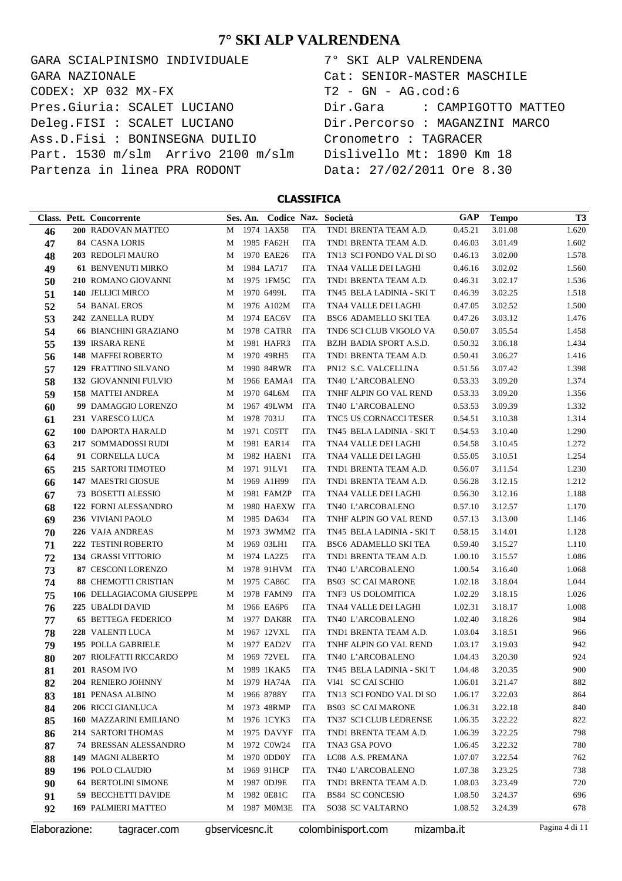GARA SCIALPINISMO INDIVIDUALE  $\texttt{CODEX}: \texttt{XP} \texttt{032} \texttt{MX-FX}$ Pres.Giuria: SCALET LUCIANO Deleg.FISI : SCALET LUCIANO Ass.D.Fisi : BONINSEGNA DUILIO Part. 1530 m/slm Arrivo 2100 m/slm Partenza in linea PRA RODONT GARA NAZIONALE

| 7° SKI ALP VALRENDENA          |
|--------------------------------|
| Cat: SENIOR-MASTER MASCHILE    |
| $T2 - GN - AG.cod:6$           |
| Dir.Gara : CAMPIGOTTO MATTEO   |
| Dir.Percorso : MAGANZINI MARCO |
| Cronometro : TAGRACER          |
| Dislivello Mt: 1890 Km 18      |
| Data: 27/02/2011 Ore 8.30      |

**CLASSIFICA**

|               | Class. Pett. Concorrente      |                 | Ses. An. |                |            | Codice Naz. Società       | GAP        | <b>Tempo</b> | T3             |
|---------------|-------------------------------|-----------------|----------|----------------|------------|---------------------------|------------|--------------|----------------|
| 46            | 200 RADOVAN MATTEO            | М               |          | 1974 1AX58     | <b>ITA</b> | TND1 BRENTA TEAM A.D.     | 0.45.21    | 3.01.08      | 1.620          |
| 47            | <b>84 CASNA LORIS</b>         | М               |          | 1985 FA62H     | <b>ITA</b> | TND1 BRENTA TEAM A.D.     | 0.46.03    | 3.01.49      | 1.602          |
| 48            | 203 REDOLFI MAURO             | М               |          | 1970 EAE26     | <b>ITA</b> | TN13 SCI FONDO VAL DI SO  | 0.46.13    | 3.02.00      | 1.578          |
| 49            | <b>61 BENVENUTI MIRKO</b>     | M               |          | 1984 LA717     | <b>ITA</b> | TNA4 VALLE DEI LAGHI      | 0.46.16    | 3.02.02      | 1.560          |
| 50            | 210 ROMANO GIOVANNI           | M               |          | 1975 1FM5C     | <b>ITA</b> | TND1 BRENTA TEAM A.D.     | 0.46.31    | 3.02.17      | 1.536          |
| 51            | 140 JELLICI MIRCO             | М               |          | 1970 6499L     | <b>ITA</b> | TN45 BELA LADINIA - SKI T | 0.46.39    | 3.02.25      | 1.518          |
| 52            | 54 BANAL EROS                 | М               |          | 1976 A102M     | <b>ITA</b> | TNA4 VALLE DEI LAGHI      | 0.47.05    | 3.02.52      | 1.500          |
| 53            | 242 ZANELLA RUDY              | М               |          | 1974 EAC6V     | <b>ITA</b> | BSC6 ADAMELLO SKI TEA     | 0.47.26    | 3.03.12      | 1.476          |
| 54            | <b>66 BIANCHINI GRAZIANO</b>  | М               |          | 1978 CATRR     | <b>ITA</b> | TND6 SCI CLUB VIGOLO VA   | 0.50.07    | 3.05.54      | 1.458          |
| 55            | 139 IRSARA RENE               | M               |          | 1981 HAFR3     | <b>ITA</b> | BZJH BADIA SPORT A.S.D.   | 0.50.32    | 3.06.18      | 1.434          |
| 56            | 148 MAFFEI ROBERTO            | M               |          | 1970 49RH5     | <b>ITA</b> | TND1 BRENTA TEAM A.D.     | 0.50.41    | 3.06.27      | 1.416          |
| 57            | 129 FRATTINO SILVANO          | M               |          | 1990 84RWR     | <b>ITA</b> | PN12 S.C. VALCELLINA      | 0.51.56    | 3.07.42      | 1.398          |
| 58            | 132 GIOVANNINI FULVIO         | M               |          | 1966 EAMA4     | <b>ITA</b> | TN40 L'ARCOBALENO         | 0.53.33    | 3.09.20      | 1.374          |
| 59            | 158 MATTEI ANDREA             | M               |          | 1970 64L6M     | <b>ITA</b> | TNHF ALPIN GO VAL REND    | 0.53.33    | 3.09.20      | 1.356          |
| 60            | 99 DAMAGGIO LORENZO           | M               |          | 1967 49LWM     | ITA        | TN40 L'ARCOBALENO         | 0.53.53    | 3.09.39      | 1.332          |
| 61            | 231 VARESCO LUCA              | M               |          | 1978 7031J     | <b>ITA</b> | TNC5 US CORNACCI TESER    | 0.54.51    | 3.10.38      | 1.314          |
| 62            | 100 DAPORTA HARALD            | M               |          | 1971 C05TT     | ITA        | TN45 BELA LADINIA - SKI T | 0.54.53    | 3.10.40      | 1.290          |
| 63            | 217 SOMMADOSSI RUDI           | M               |          | 1981 EAR14     | <b>ITA</b> | TNA4 VALLE DEI LAGHI      | 0.54.58    | 3.10.45      | 1.272          |
| 64            | 91 CORNELLA LUCA              | M               |          | 1982 HAEN1     | <b>ITA</b> | TNA4 VALLE DEI LAGHI      | 0.55.05    | 3.10.51      | 1.254          |
| 65            | 215 SARTORI TIMOTEO           | M               |          | 1971 91LV1     | <b>ITA</b> | TND1 BRENTA TEAM A.D.     | 0.56.07    | 3.11.54      | 1.230          |
| 66            | 147 MAESTRI GIOSUE            | M               |          | 1969 A1H99     | <b>ITA</b> | TND1 BRENTA TEAM A.D.     | 0.56.28    | 3.12.15      | 1.212          |
| 67            | <b>73 BOSETTI ALESSIO</b>     | M               |          | 1981 FAMZP     | <b>ITA</b> | TNA4 VALLE DEI LAGHI      | 0.56.30    | 3.12.16      | 1.188          |
| 68            | 122 FORNI ALESSANDRO          | М               |          | 1980 HAEXW ITA |            | TN40 L'ARCOBALENO         | 0.57.10    | 3.12.57      | 1.170          |
| 69            | 236 VIVIANI PAOLO             | M               |          | 1985 DA634     | <b>ITA</b> | TNHF ALPIN GO VAL REND    | 0.57.13    | 3.13.00      | 1.146          |
| 70            | 226 VAJA ANDREAS              | M               |          | 1973 3WMM2 ITA |            | TN45 BELA LADINIA - SKI T | 0.58.15    | 3.14.01      | 1.128          |
| 71            | 222 TESTINI ROBERTO           | M               |          | 1969 03LH1     | <b>ITA</b> | BSC6 ADAMELLO SKI TEA     | 0.59.40    | 3.15.27      | 1.110          |
| 72            | <b>134 GRASSI VITTORIO</b>    | M               |          | 1974 LA2Z5     | <b>ITA</b> | TND1 BRENTA TEAM A.D.     | 1.00.10    | 3.15.57      | 1.086          |
| 73            | <b>87 CESCONI LORENZO</b>     | М               |          | 1978 91HVM     | <b>ITA</b> | TN40 L'ARCOBALENO         | 1.00.54    | 3.16.40      | 1.068          |
| 74            | <b>88 CHEMOTTI CRISTIAN</b>   | M               |          | 1975 CA86C     | <b>ITA</b> | <b>BS03 SC CAI MARONE</b> | 1.02.18    | 3.18.04      | 1.044          |
| 75            | 106 DELLAGIACOMA GIUSEPPE     | M               |          | 1978 FAMN9     | ITA        | TNF3 US DOLOMITICA        | 1.02.29    | 3.18.15      | 1.026          |
| 76            | 225 UBALDI DAVID              | M               |          | 1966 EA6P6     | <b>ITA</b> | TNA4 VALLE DEI LAGHI      | 1.02.31    | 3.18.17      | 1.008          |
| 77            | <b>65 BETTEGA FEDERICO</b>    | M               |          | 1977 DAK8R     | <b>ITA</b> | TN40 L'ARCOBALENO         | 1.02.40    | 3.18.26      | 984            |
| 78            | 228 VALENTI LUCA              | M               |          | 1967 12VXL     | <b>ITA</b> | TND1 BRENTA TEAM A.D.     | 1.03.04    | 3.18.51      | 966            |
| 79            | 195 POLLA GABRIELE            | M               |          | 1977 EAD2V     | <b>ITA</b> | TNHF ALPIN GO VAL REND    | 1.03.17    | 3.19.03      | 942            |
| 80            | 207 RIOLFATTI RICCARDO        | M               |          | 1969 72VEL     | <b>ITA</b> | TN40 L'ARCOBALENO         | 1.04.43    | 3.20.30      | 924            |
| 81            | 201 RASOM IVO                 | М               |          | 1989 1KAK5     | <b>ITA</b> | TN45 BELA LADINIA - SKI T | 1.04.48    | 3.20.35      | 900            |
| 82            | 204 RENIERO JOHNNY            | M               |          | 1979 HA74A     | ITA        | VI41 SC CAI SCHIO         | 1.06.01    | 3.21.47      | 882            |
| 83            | 181 PENASA ALBINO             | M               |          | 1966 8788Y     | ITA        | TN13 SCI FONDO VAL DI SO  | 1.06.17    | 3.22.03      | 864            |
| 84            | 206 RICCI GIANLUCA            | M               |          | 1973 48RMP     | ITA        | <b>BS03 SC CAI MARONE</b> | 1.06.31    | 3.22.18      | 840            |
| 85            | <b>160 MAZZARINI EMILIANO</b> | M               |          | 1976 1CYK3     | ITA        | TN37 SCI CLUB LEDRENSE    | 1.06.35    | 3.22.22      | 822            |
| 86            | 214 SARTORI THOMAS            | M               |          | 1975 DAVYF     | <b>ITA</b> | TND1 BRENTA TEAM A.D.     | 1.06.39    | 3.22.25      | 798            |
| 87            | <b>74 BRESSAN ALESSANDRO</b>  | M               |          | 1972 C0W24     | ITA        | TNA3 GSA POVO             | 1.06.45    | 3.22.32      | 780            |
| 88            | 149 MAGNI ALBERTO             | M               |          | 1970 0DD0Y     | ITA        | LC08 A.S. PREMANA         | 1.07.07    | 3.22.54      | 762            |
| 89            | 196 POLO CLAUDIO              | M               |          | 1969 91HCP     | ITA        | TN40 L'ARCOBALENO         | 1.07.38    | 3.23.25      | 738            |
| 90            | <b>64 BERTOLINI SIMONE</b>    | M               |          | 1987 0DJ9E     | ITA        | TND1 BRENTA TEAM A.D.     | 1.08.03    | 3.23.49      | 720            |
| 91            | <b>59 BECCHETTI DAVIDE</b>    | M               |          | 1982 0E81C     | ITA        | <b>BS84 SC CONCESIO</b>   | 1.08.50    | 3.24.37      | 696            |
| 92            | <b>169 PALMIERI MATTEO</b>    | M               |          | 1987 M0M3E     | <b>ITA</b> | SO38 SC VALTARNO          | 1.08.52    | 3.24.39      | 678            |
| Elaborazione: | tagracer.com                  | gbservicesnc.it |          |                |            | colombinisport.com        | mizamba.it |              | Pagina 4 di 11 |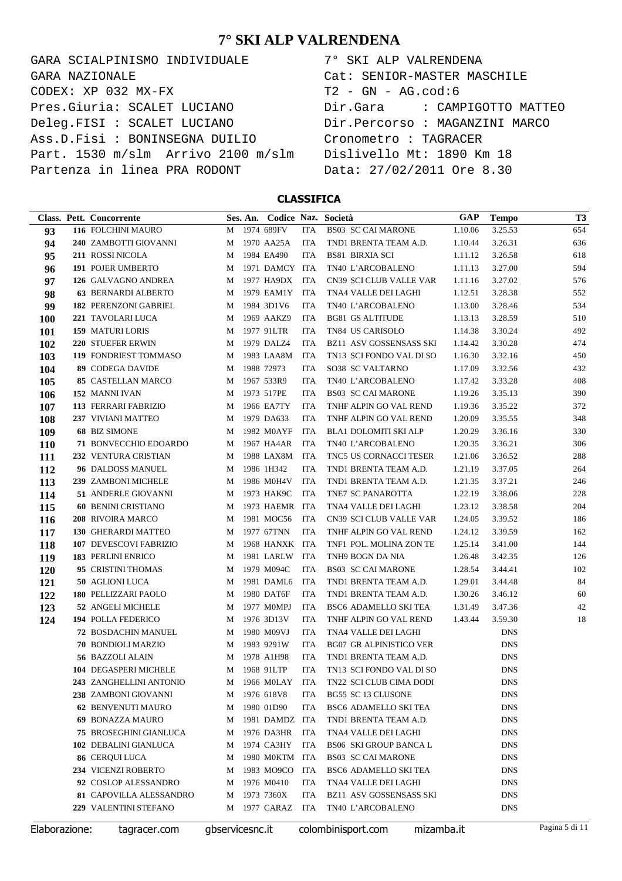GARA SCIALPINISMO INDIVIDUALE  $CODEX: XP 032 MX-FX$ Pres.Giuria: SCALET LUCIANO Deleg.FISI : SCALET LUCIANO Ass.D.Fisi : BONINSEGNA DUILIO Part. 1530 m/slm Arrivo 2100 m/slm Partenza in linea PRA RODONT GARA NAZIONALE

| 7° SKI ALP VALRENDENA          |
|--------------------------------|
| Cat: SENIOR-MASTER MASCHILE    |
| $T2 - GN - AG.cod:6$           |
| Dir.Gara : CAMPIGOTTO MATTEO   |
| Dir.Percorso : MAGANZINI MARCO |
| Cronometro : TAGRACER          |
| Dislivello Mt: 1890 Km 18      |
| Data: 27/02/2011 Ore 8.30      |

**CLASSIFICA**

|               | Class. Pett. Concorrente      |                 | Ses. An. Codice Naz. Società |            |                                | <b>GAP</b> | <b>Tempo</b> | T <sub>3</sub> |
|---------------|-------------------------------|-----------------|------------------------------|------------|--------------------------------|------------|--------------|----------------|
| 93            | 116 FOLCHINI MAURO            | М               | 1974 689FV                   | <b>ITA</b> | <b>BS03 SC CAI MARONE</b>      | 1.10.06    | 3.25.53      | 654            |
| 94            | 240 ZAMBOTTI GIOVANNI         | М               | 1970 AA25A                   | ITA        | TND1 BRENTA TEAM A.D.          | 1.10.44    | 3.26.31      | 636            |
| 95            | 211 ROSSI NICOLA              | М               | 1984 EA490                   | <b>ITA</b> | <b>BS81 BIRXIA SCI</b>         | 1.11.12    | 3.26.58      | 618            |
| 96            | 191 POJER UMBERTO             | М               | 1971 DAMCY ITA               |            | TN40 L'ARCOBALENO              | 1.11.13    | 3.27.00      | 594            |
| 97            | 126 GALVAGNO ANDREA           | М               | 1977 HA9DX                   | <b>ITA</b> | CN39 SCI CLUB VALLE VAR        | 1.11.16    | 3.27.02      | 576            |
| 98            | <b>63 BERNARDI ALBERTO</b>    | М               | 1979 EAM1Y                   | <b>ITA</b> | TNA4 VALLE DEI LAGHI           | 1.12.51    | 3.28.38      | 552            |
| 99            | <b>182 PERENZONI GABRIEL</b>  | M               | 1984 3D1V6                   | <b>ITA</b> | TN40 L'ARCOBALENO              | 1.13.00    | 3.28.46      | 534            |
| 100           | 221 TAVOLARI LUCA             | M               | 1969 AAKZ9                   | ITA        | <b>BG81 GS ALTITUDE</b>        | 1.13.13    | 3.28.59      | 510            |
| 101           | 159 MATURI LORIS              | M               | 1977 91LTR                   | <b>ITA</b> | TN84 US CARISOLO               | 1.14.38    | 3.30.24      | 492            |
| 102           | <b>220 STUEFER ERWIN</b>      | М               | 1979 DALZ4                   | <b>ITA</b> | <b>BZ11 ASV GOSSENSASS SKI</b> | 1.14.42    | 3.30.28      | 474            |
| 103           | 119 FONDRIEST TOMMASO         | М               | 1983 LAA8M                   | <b>ITA</b> | TN13 SCI FONDO VAL DI SO       | 1.16.30    | 3.32.16      | 450            |
| 104           | 89 CODEGA DAVIDE              | М               | 1988 72973                   | <b>ITA</b> | SO38 SC VALTARNO               | 1.17.09    | 3.32.56      | 432            |
| 105           | <b>85 CASTELLAN MARCO</b>     | М               | 1967 533R9                   | <b>ITA</b> | TN40 L'ARCOBALENO              | 1.17.42    | 3.33.28      | 408            |
| 106           | 152 MANNI IVAN                | М               | 1973 517PE                   | <b>ITA</b> | <b>BS03 SC CAI MARONE</b>      | 1.19.26    | 3.35.13      | 390            |
| 107           | 113 FERRARI FABRIZIO          | М               | 1966 EA7TY                   | <b>ITA</b> | TNHF ALPIN GO VAL REND         | 1.19.36    | 3.35.22      | 372            |
| 108           | 237 VIVIANI MATTEO            | М               | 1979 DA633                   | <b>ITA</b> | TNHF ALPIN GO VAL REND         | 1.20.09    | 3.35.55      | 348            |
| 109           | <b>68 BIZ SIMONE</b>          | М               | 1982 M0AYF                   | <b>ITA</b> | BLA1 DOLOMITI SKI ALP          | 1.20.29    | 3.36.16      | 330            |
| <b>110</b>    | 71 BONVECCHIO EDOARDO         | M               | 1967 HA4AR                   | <b>ITA</b> | TN40 L'ARCOBALENO              | 1.20.35    | 3.36.21      | 306            |
| 111           | 232 VENTURA CRISTIAN          | M               | 1988 LAX8M                   | <b>ITA</b> | TNC5 US CORNACCI TESER         | 1.21.06    | 3.36.52      | 288            |
| 112           | 96 DALDOSS MANUEL             | М               | 1986 1H342                   | <b>ITA</b> | TND1 BRENTA TEAM A.D.          | 1.21.19    | 3.37.05      | 264            |
| 113           | 239 ZAMBONI MICHELE           | М               | 1986 M0H4V                   | <b>ITA</b> | TND1 BRENTA TEAM A.D.          | 1.21.35    | 3.37.21      | 246            |
| 114           | 51 ANDERLE GIOVANNI           | М               | 1973 HAK9C                   | <b>ITA</b> | TNE7 SC PANAROTTA              | 1.22.19    | 3.38.06      | 228            |
| 115           | <b>60 BENINI CRISTIANO</b>    | М               | 1973 HAEMR ITA               |            | TNA4 VALLE DEI LAGHI           | 1.23.12    | 3.38.58      | 204            |
| 116           | 208 RIVOIRA MARCO             | М               | 1981 MOC56                   | <b>ITA</b> | CN39 SCI CLUB VALLE VAR        | 1.24.05    | 3.39.52      | 186            |
| 117           | <b>130 GHERARDI MATTEO</b>    | М               | 1977 67TNN                   | <b>ITA</b> | TNHF ALPIN GO VAL REND         | 1.24.12    | 3.39.59      | 162            |
| 118           | 107 DEVESCOVI FABRIZIO        | М               | 1968 HANXK ITA               |            | TNF1 POL. MOLINA ZON TE        | 1.25.14    | 3.41.00      | 144            |
| 119           | <b>183 PERLINI ENRICO</b>     | М               | 1981 LARLW                   | <b>ITA</b> | TNH9 BOGN DA NIA               | 1.26.48    | 3.42.35      | 126            |
| 120           | 95 CRISTINI THOMAS            | М               | 1979 M094C                   | <b>ITA</b> | <b>BS03 SC CAI MARONE</b>      | 1.28.54    | 3.44.41      | 102            |
| 121           | 50 AGLIONI LUCA               | М               | 1981 DAML6                   | <b>ITA</b> | TND1 BRENTA TEAM A.D.          | 1.29.01    | 3.44.48      | 84             |
| 122           | 180 PELLIZZARI PAOLO          | М               | 1980 DAT6F                   | <b>ITA</b> | TND1 BRENTA TEAM A.D.          | 1.30.26    | 3.46.12      | 60             |
| 123           | 52 ANGELI MICHELE             | М               | 1977 M0MPJ                   | <b>ITA</b> | BSC6 ADAMELLO SKI TEA          | 1.31.49    | 3.47.36      | 42             |
| 124           | 194 POLLA FEDERICO            | М               | 1976 3D13V                   | <b>ITA</b> | TNHF ALPIN GO VAL REND         | 1.43.44    | 3.59.30      | 18             |
|               | 72 BOSDACHIN MANUEL           | М               | 1980 M09VJ                   | <b>ITA</b> | TNA4 VALLE DEI LAGHI           |            | <b>DNS</b>   |                |
|               | 70 BONDIOLI MARZIO            | М               | 1983 9291W                   | <b>ITA</b> | <b>BG07 GR ALPINISTICO VER</b> |            | <b>DNS</b>   |                |
|               | 56 BAZZOLI ALAIN              | М               | 1978 A1H98                   | <b>ITA</b> | TND1 BRENTA TEAM A.D.          |            | <b>DNS</b>   |                |
|               | 104 DEGASPERI MICHELE         |                 | M 1968 91LTP                 | <b>ITA</b> | TN13 SCI FONDO VAL DI SO       |            | <b>DNS</b>   |                |
|               | 243 ZANGHELLINI ANTONIO       |                 | M 1966 MOLAY ITA             |            | TN22 SCI CLUB CIMA DODI        |            | <b>DNS</b>   |                |
|               | 238 ZAMBONI GIOVANNI          | M               | 1976 618V8                   | ITA        | BG55 SC 13 CLUSONE             |            | DNS          |                |
|               | <b>62 BENVENUTI MAURO</b>     | M               | 1980 01D90                   | ITA        | BSC6 ADAMELLO SKI TEA          |            | <b>DNS</b>   |                |
|               | 69 BONAZZA MAURO              | M               | 1981 DAMDZ ITA               |            | TND1 BRENTA TEAM A.D.          |            | <b>DNS</b>   |                |
|               | <b>75 BROSEGHINI GIANLUCA</b> | M               | 1976 DA3HR                   | ITA        | TNA4 VALLE DEI LAGHI           |            | <b>DNS</b>   |                |
|               | 102 DEBALINI GIANLUCA         | M               | 1974 CA3HY                   | ITA        | <b>BS06 SKI GROUP BANCA L</b>  |            | <b>DNS</b>   |                |
|               | <b>86 CERQUILUCA</b>          | M               | 1980 M0KTM                   | ITA        | <b>BS03 SC CAI MARONE</b>      |            | <b>DNS</b>   |                |
|               | 234 VICENZI ROBERTO           | M               | 1983 MO9CO                   | ITA        | BSC6 ADAMELLO SKI TEA          |            | <b>DNS</b>   |                |
|               | 92 COSLOP ALESSANDRO          | M               | 1976 M0410                   | ITA        | TNA4 VALLE DEI LAGHI           |            | <b>DNS</b>   |                |
|               | 81 CAPOVILLA ALESSANDRO       | M               | 1973 7360X                   | ITA        | <b>BZ11 ASV GOSSENSASS SKI</b> |            | <b>DNS</b>   |                |
|               | 229 VALENTINI STEFANO         | М               | 1977 CARAZ                   | ITA        | TN40 L'ARCOBALENO              |            | <b>DNS</b>   |                |
| Elaborazione: | tagracer.com                  | gbservicesnc.it |                              |            | colombinisport.com             | mizamba.it |              | Pagina 5 di 11 |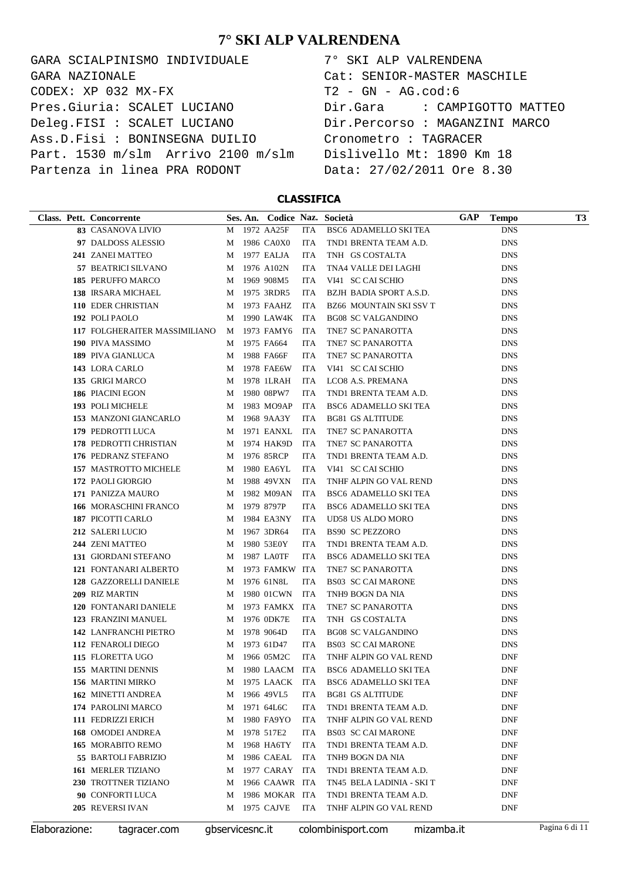GARA SCIALPINISMO INDIVIDUALE CODEX: XP 032 MX-FX Pres.Giuria: SCALET LUCIANO Deleg.FISI : SCALET LUCIANO Ass.D.Fisi : BONINSEGNA DUILIO Part. 1530 m/slm Arrivo 2100 m/slm Partenza in linea PRA RODONT GARA NAZIONALE

| 7° SKI ALP VALRENDENA          |
|--------------------------------|
| Cat: SENIOR-MASTER MASCHILE    |
| $T2 - GN - AG.cod:6$           |
| Dir.Gara : CAMPIGOTTO MATTEO   |
| Dir.Percorso : MAGANZINI MARCO |
| Cronometro : TAGRACER          |
| Dislivello Mt: 1890 Km 18      |
| Data: 27/02/2011 Ore 8.30      |

**CLASSIFICA**

| Class. Pett. Concorrente      |   | Ses. An. Codice Naz. Società |            |                              | GAP | <b>Tempo</b> | T <sub>3</sub> |
|-------------------------------|---|------------------------------|------------|------------------------------|-----|--------------|----------------|
| 83 CASANOVA LIVIO             |   | M 1972 AA25F                 | ITA        | BSC6 ADAMELLO SKI TEA        |     | <b>DNS</b>   |                |
| 97 DALDOSS ALESSIO            |   | M 1986 CA0X0                 | ITA        | TND1 BRENTA TEAM A.D.        |     | <b>DNS</b>   |                |
| 241 ZANEI MATTEO              | M | 1977 EALJA                   | ITA        | TNH GS COSTALTA              |     | <b>DNS</b>   |                |
| 57 BEATRICI SILVANO           |   | M 1976 A102N                 | <b>ITA</b> | TNA4 VALLE DEI LAGHI         |     | <b>DNS</b>   |                |
| 185 PERUFFO MARCO             |   | M 1969 908M5                 | <b>ITA</b> | VI41 SC CAI SCHIO            |     | <b>DNS</b>   |                |
| 138 IRSARA MICHAEL            |   | M 1975 3RDR5                 | ITA        | BZJH BADIA SPORT A.S.D.      |     | <b>DNS</b>   |                |
| 110 EDER CHRISTIAN            |   | M 1973 FAAHZ                 | ITA        | BZ66 MOUNTAIN SKI SSV T      |     | <b>DNS</b>   |                |
| 192 POLI PAOLO                | М | 1990 LAW4K                   | ITA        | <b>BG08 SC VALGANDINO</b>    |     | <b>DNS</b>   |                |
| 117 FOLGHERAITER MASSIMILIANO | M | 1973 FAMY6                   | ITA        | TNE7 SC PANAROTTA            |     | <b>DNS</b>   |                |
| 190 PIVA MASSIMO              | M | 1975 FA664                   | <b>ITA</b> | TNE7 SC PANAROTTA            |     | <b>DNS</b>   |                |
| <b>189 PIVA GIANLUCA</b>      | M | 1988 FA66F                   | <b>ITA</b> | TNE7 SC PANAROTTA            |     | <b>DNS</b>   |                |
| 143 LORA CARLO                | М | 1978 FAE6W                   | <b>ITA</b> | VI41 SC CAI SCHIO            |     | <b>DNS</b>   |                |
| 135 GRIGI MARCO               | М | 1978 1LRAH                   | <b>ITA</b> | LCO8 A.S. PREMANA            |     | <b>DNS</b>   |                |
| 186 PIACINI EGON              | М | 1980 08PW7                   | <b>ITA</b> | TND1 BRENTA TEAM A.D.        |     | <b>DNS</b>   |                |
| 193 POLI MICHELE              | М | 1983 MO9AP                   | <b>ITA</b> | BSC6 ADAMELLO SKI TEA        |     | <b>DNS</b>   |                |
| 153 MANZONI GIANCARLO         | M | 1968 9AA3Y                   | <b>ITA</b> | <b>BG81 GS ALTITUDE</b>      |     | <b>DNS</b>   |                |
| 179 PEDROTTI LUCA             | M | 1971 EANXL                   | <b>ITA</b> | TNE7 SC PANAROTTA            |     | <b>DNS</b>   |                |
| 178 PEDROTTI CHRISTIAN        |   | M 1974 HAK9D                 | <b>ITA</b> | TNE7 SC PANAROTTA            |     | <b>DNS</b>   |                |
| 176 PEDRANZ STEFANO           | M | 1976 85RCP                   | <b>ITA</b> | TND1 BRENTA TEAM A.D.        |     | <b>DNS</b>   |                |
| 157 MASTROTTO MICHELE         | M | 1980 EA6YL                   | <b>ITA</b> | VI41 SC CAI SCHIO            |     | <b>DNS</b>   |                |
| 172 PAOLI GIORGIO             | M | 1988 49VXN                   | <b>ITA</b> | TNHF ALPIN GO VAL REND       |     | <b>DNS</b>   |                |
| 171 PANIZZA MAURO             | М | 1982 M09AN                   | <b>ITA</b> | BSC6 ADAMELLO SKI TEA        |     | <b>DNS</b>   |                |
| 166 MORASCHINI FRANCO         | М | 1979 8797P                   | <b>ITA</b> | BSC6 ADAMELLO SKI TEA        |     | <b>DNS</b>   |                |
| 187 PICOTTI CARLO             | M | 1984 EA3NY                   | <b>ITA</b> | UD58 US ALDO MORO            |     | <b>DNS</b>   |                |
| 212 SALERI LUCIO              | М | 1967 3DR64                   | <b>ITA</b> | <b>BS90 SC PEZZORO</b>       |     | <b>DNS</b>   |                |
| 244 ZENI MATTEO               | М | 1980 53E0Y                   | <b>ITA</b> | TND1 BRENTA TEAM A.D.        |     | <b>DNS</b>   |                |
| 131 GIORDANI STEFANO          | М | 1987 LA0TF                   | <b>ITA</b> | BSC6 ADAMELLO SKI TEA        |     | <b>DNS</b>   |                |
| 121 FONTANARI ALBERTO         | М | 1973 FAMKW ITA               |            | TNE7 SC PANAROTTA            |     | <b>DNS</b>   |                |
| 128 GAZZORELLI DANIELE        | M | 1976 61N8L                   | <b>ITA</b> | <b>BS03 SC CAI MARONE</b>    |     | <b>DNS</b>   |                |
| 209 RIZ MARTIN                | M | 1980 01CWN                   | ITA        | TNH9 BOGN DA NIA             |     | <b>DNS</b>   |                |
| 120 FONTANARI DANIELE         | M | 1973 FAMKX ITA               |            | TNE7 SC PANAROTTA            |     | <b>DNS</b>   |                |
| 123 FRANZINI MANUEL           | M | 1976 0DK7E                   | <b>ITA</b> | TNH GS COSTALTA              |     | <b>DNS</b>   |                |
| <b>142 LANFRANCHI PIETRO</b>  | M | 1978 9064D                   | <b>ITA</b> | <b>BG08 SC VALGANDINO</b>    |     | <b>DNS</b>   |                |
| 112 FENAROLI DIEGO            | M | 1973 61D47                   | <b>ITA</b> | <b>BS03 SC CAI MARONE</b>    |     | <b>DNS</b>   |                |
| 115 FLORETTA UGO              | М | 1966 05M2C                   | <b>ITA</b> | TNHF ALPIN GO VAL REND       |     | <b>DNF</b>   |                |
| 155 MARTINI DENNIS            |   | M 1980 LAACM ITA             |            | <b>BSC6 ADAMELLO SKI TEA</b> |     | <b>DNF</b>   |                |
| 156 MARTINI MIRKO             | M | 1975 LAACK                   | ITA        | BSC6 ADAMELLO SKI TEA        |     | DNF          |                |
| <b>162 MINETTI ANDREA</b>     | М | 1966 49VL5                   | ITA        | <b>BG81 GS ALTITUDE</b>      |     | <b>DNF</b>   |                |
| 174 PAROLINI MARCO            | М | 1971 64L6C                   | ITA        | TND1 BRENTA TEAM A.D.        |     | DNF          |                |
| 111 FEDRIZZI ERICH            | М | 1980 FA9YO                   | ITA        | TNHF ALPIN GO VAL REND       |     | DNF          |                |
| <b>168 OMODEI ANDREA</b>      | М | 1978 517E2                   | ITA        | <b>BS03 SC CAI MARONE</b>    |     | DNF          |                |
| 165 MORABITO REMO             | М | 1968 HA6TY                   | ITA        | TND1 BRENTA TEAM A.D.        |     | DNF          |                |
| 55 BARTOLI FABRIZIO           | М | 1986 CAEAL                   | <b>ITA</b> | TNH9 BOGN DA NIA             |     | DNF          |                |
| <b>161 MERLER TIZIANO</b>     | М | 1977 CARAY                   | ITA        | TND1 BRENTA TEAM A.D.        |     | DNF          |                |
| 230 TROTTNER TIZIANO          | М | 1966 CAAWR ITA               |            | TN45 BELA LADINIA - SKI T    |     | DNF          |                |
| 90 CONFORTI LUCA              | М | 1986 MOKAR ITA               |            | TND1 BRENTA TEAM A.D.        |     | DNF          |                |
| 205 REVERSI IVAN              | M | 1975 CAJVE                   | ITA        | TNHF ALPIN GO VAL REND       |     | DNF          |                |

Elaborazione: tagracer.com gbservicesnc.it colombinisport.com mizamba.it Pagina 6 di 11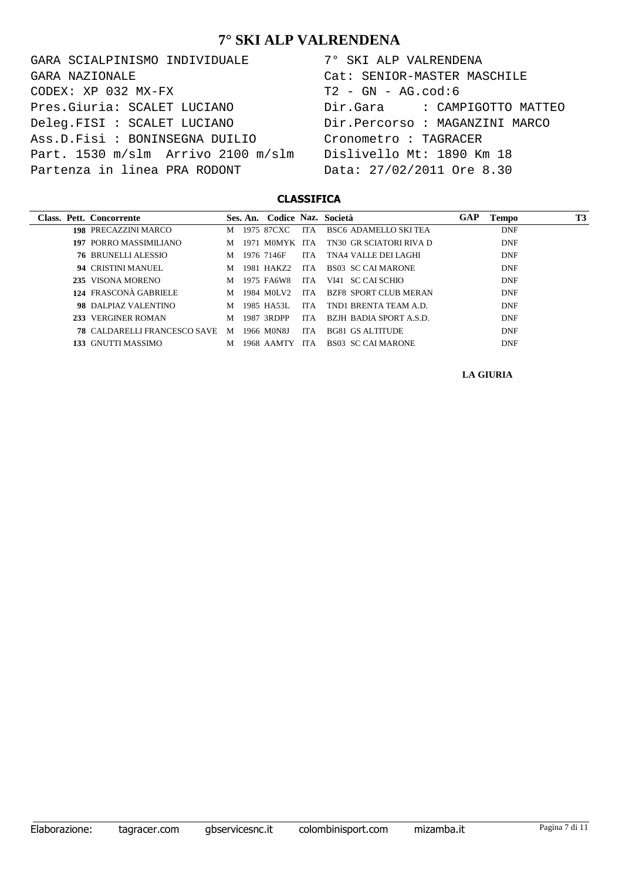GARA SCIALPINISMO INDIVIDUALE CODEX: XP 032 MX-FX Pres.Giuria: SCALET LUCIANO Deleg.FISI : SCALET LUCIANO Ass.D.Fisi : BONINSEGNA DUILIO Part. 1530 m/slm Arrivo 2100 m/slm Partenza in linea PRA RODONT GARA NAZIONALE

| 7° SKI ALP VALRENDENA          |
|--------------------------------|
| Cat: SENIOR-MASTER MASCHILE    |
| $T2 - GN - AG.cod:6$           |
| Dir.Gara : CAMPIGOTTO MATTEO   |
| Dir.Percorso : MAGANZINI MARCO |
| Cronometro : TAGRACER          |
| Dislivello Mt: 1890 Km 18      |
| Data: 27/02/2011 Ore 8.30      |

#### **CLASSIFICA**

| Class. Pett. Concorrente            |   |       | Ses. An. Codice Naz. Società |      |                             | GAP | Tempo      | T3 |
|-------------------------------------|---|-------|------------------------------|------|-----------------------------|-----|------------|----|
| <b>198 PRECAZZINI MARCO</b>         | M |       | 1975 87CXC                   | ITA. | <b>BSC6 ADAMELLO SKITEA</b> |     | <b>DNF</b> |    |
| <b>197 PORRO MASSIMILIANO</b>       | M | 1971. | M0MYK                        | ITA. | TN30 GR SCIATORI RIVA D     |     | <b>DNF</b> |    |
| <b>76 BRUNELLI ALESSIO</b>          | M |       | 1976 7146F                   | ITA. | TNA4 VALLE DELLAGHI         |     | <b>DNF</b> |    |
| 94 CRISTINI MANUEL                  | M |       | 1981 HAKZ2                   | ITA. | BS03 SC CALMARONE           |     | <b>DNF</b> |    |
| 235 VISONA MORENO                   | M |       | 1975 FA6W8                   | ITA. | - SC CALSCHIO<br>VI41       |     | <b>DNF</b> |    |
| 124 FRASCONÀ GABRIELE               | M |       | 1984 MOLV2                   | ITA. | BZF8 SPORT CLUB MERAN       |     | <b>DNF</b> |    |
| 98 DALPIAZ VALENTINO                | M |       | 1985 HA53L                   | ITA. | TND1 BRENTA TEAM A.D.       |     | <b>DNF</b> |    |
| 233 VERGINER ROMAN                  | M |       | 1987 3RDPP                   | IT A | BZJH BADIA SPORT A.S.D.     |     | <b>DNF</b> |    |
| <b>78 CALDARELLI FRANCESCO SAVE</b> | M |       | 1966 M0N8J                   | ITA. | BG81 GS ALTITUDE            |     | <b>DNF</b> |    |
| 133 GNUTTI MASSIMO                  | М |       | 1968 AAMTY                   | ITA. | BS03 SC CALMARONE           |     | <b>DNF</b> |    |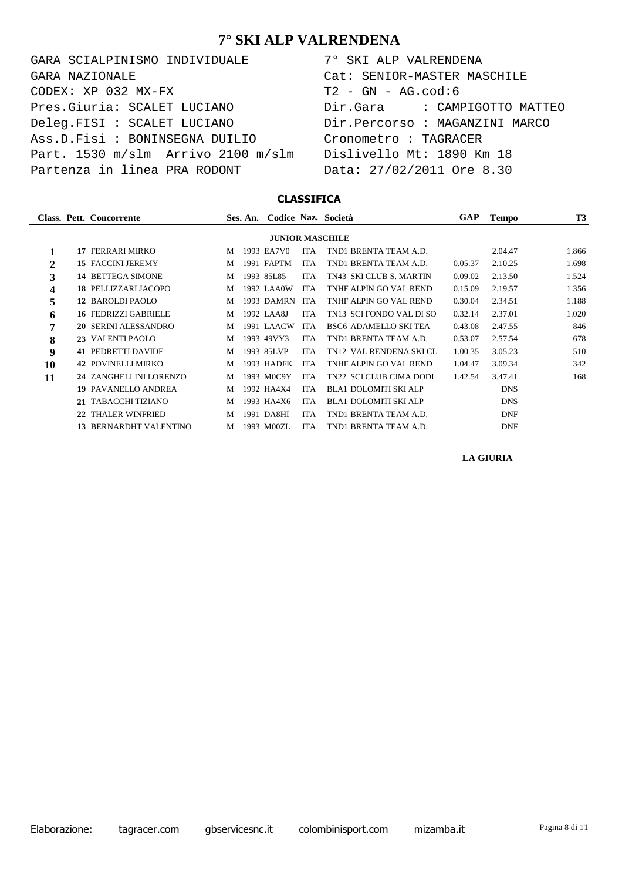GARA SCIALPINISMO INDIVIDUALE CODEX: XP 032 MX-FX Pres.Giuria: SCALET LUCIANO Deleg.FISI : SCALET LUCIANO Ass.D.Fisi : BONINSEGNA DUILIO Part. 1530 m/slm Arrivo 2100 m/slm Partenza in linea PRA RODONT GARA NAZIONALE

| 7° SKI ALP VALRENDENA                    |
|------------------------------------------|
| Cat: SENIOR-MASTER MASCHILE              |
| T2 - GN - AG.cod:6                       |
| Dir.Gara               CAMPIGOTTO MATTEO |
| Dir.Percorso : MAGANZINI MARCO           |
| Cronometro : TAGRACER                    |
| Dislivello Mt: 1890 Km 18                |
| Data: 27/02/2011 Ore 8.30                |

#### **CLASSIFICA**

|                        |    | Class. Pett. Concorrente      |   | Ses. An. |              |            | Codice Naz. Società          | GAP     | <b>Tempo</b> | <b>T3</b> |
|------------------------|----|-------------------------------|---|----------|--------------|------------|------------------------------|---------|--------------|-----------|
| <b>JUNIOR MASCHILE</b> |    |                               |   |          |              |            |                              |         |              |           |
|                        | 17 | FERRARI MIRKO                 | M |          | 1993 EA7V0   | ITA        | TND1 BRENTA TEAM A.D.        |         | 2.04.47      | 1.866     |
| 2                      |    | <b>15 FACCINI JEREMY</b>      | M | 1991     | <b>FAPTM</b> | <b>ITA</b> | TND1 BRENTA TEAM A.D.        | 0.05.37 | 2.10.25      | 1.698     |
| 3                      |    | <b>14 BETTEGA SIMONE</b>      | M |          | 1993 85L85   | <b>ITA</b> | TN43 SKI CLUB S. MARTIN      | 0.09.02 | 2.13.50      | 1.524     |
| 4                      |    | 18 PELLIZZARI JACOPO          | M |          | 1992 LAA0W   | <b>ITA</b> | TNHF ALPIN GO VAL REND       | 0.15.09 | 2.19.57      | 1.356     |
| 5                      |    | 12 BAROLDI PAOLO              | M |          | 1993 DAMRN   | <b>ITA</b> | TNHF ALPIN GO VAL REND       | 0.30.04 | 2.34.51      | 1.188     |
| 6                      |    | <b>16 FEDRIZZI GABRIELE</b>   | M |          | 1992 LAA8J   | <b>ITA</b> | TN13 SCI FONDO VAL DI SO     | 0.32.14 | 2.37.01      | 1.020     |
| 7                      |    | 20 SERINI ALESSANDRO          | M |          | 1991 LAACW   | <b>ITA</b> | <b>BSC6 ADAMELLO SKI TEA</b> | 0.43.08 | 2.47.55      | 846       |
| 8                      |    | 23 VALENTI PAOLO              | M |          | 1993 49VY3   | <b>ITA</b> | TND1 BRENTA TEAM A.D.        | 0.53.07 | 2.57.54      | 678       |
| 9                      |    | <b>41 PEDRETTI DAVIDE</b>     | M |          | 1993 85LVP   | <b>ITA</b> | TN12 VAL RENDENA SKICL       | 1.00.35 | 3.05.23      | 510       |
| 10                     |    | <b>42 POVINELLI MIRKO</b>     | M | 1993     | <b>HADFK</b> | <b>ITA</b> | TNHF ALPIN GO VAL REND       | 1.04.47 | 3.09.34      | 342       |
| 11                     |    | 24 ZANGHELLINI LORENZO        | M |          | 1993 M0C9Y   | <b>ITA</b> | TN22 SCI CLUB CIMA DODI      | 1.42.54 | 3.47.41      | 168       |
|                        |    | <b>19 PAVANELLO ANDREA</b>    | M |          | 1992 HA4X4   | <b>ITA</b> | <b>BLA1 DOLOMITI SKI ALP</b> |         | <b>DNS</b>   |           |
|                        |    | TABACCHI TIZIANO              | M |          | 1993 HA4X6   | <b>ITA</b> | <b>BLA1 DOLOMITI SKI ALP</b> |         | <b>DNS</b>   |           |
|                        |    | <b>THALER WINFRIED</b>        | M | 1991     | DA8HI        | <b>ITA</b> | TND1 BRENTA TEAM A.D.        |         | <b>DNF</b>   |           |
|                        |    | <b>13 BERNARDHT VALENTINO</b> | M |          | 1993 M00ZL   | <b>ITA</b> | TND1 BRENTA TEAM A.D.        |         | <b>DNF</b>   |           |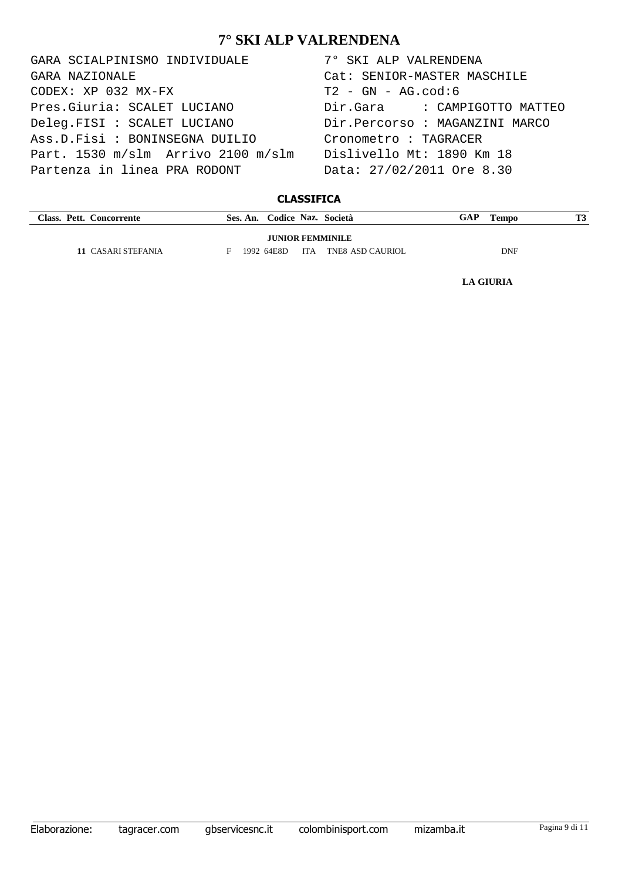GARA SCIALPINISMO INDIVIDUALE 7° SKI ALP VALRENDENA  $CODEX: XP 032 MX-FX$  T2 - GN - AG.cod:6 Pres.Giuria: SCALET LUCIANO Dir.Gara : CAMPIGOTTO MATTEO Deleg.FISI : SCALET LUCIANO Dir.Percorso : MAGANZINI MARCO Ass.D.Fisi : BONINSEGNA DUILIO Cronometro : TAGRACER Part. 1530 m/slm Arrivo 2100 m/slm Dislivello Mt: 1890 Km 18 Partenza in linea PRA RODONT Data: 27/02/2011 Ore 8.30 GARA NAZIONALE Cat: SENIOR-MASTER MASCHILE

### **CLASSIFICA**

| Class. Pett. Concorrente | Ses. An. Codice Naz. Società       | GAP<br>Tempo | <b>T3</b> |  |  |  |  |  |  |
|--------------------------|------------------------------------|--------------|-----------|--|--|--|--|--|--|
| <b>JUNIOR FEMMINILE</b>  |                                    |              |           |  |  |  |  |  |  |
| 11 CASARI STEFANIA       | ITA TNE8 ASD CAURIOL<br>1992 64E8D | <b>DNF</b>   |           |  |  |  |  |  |  |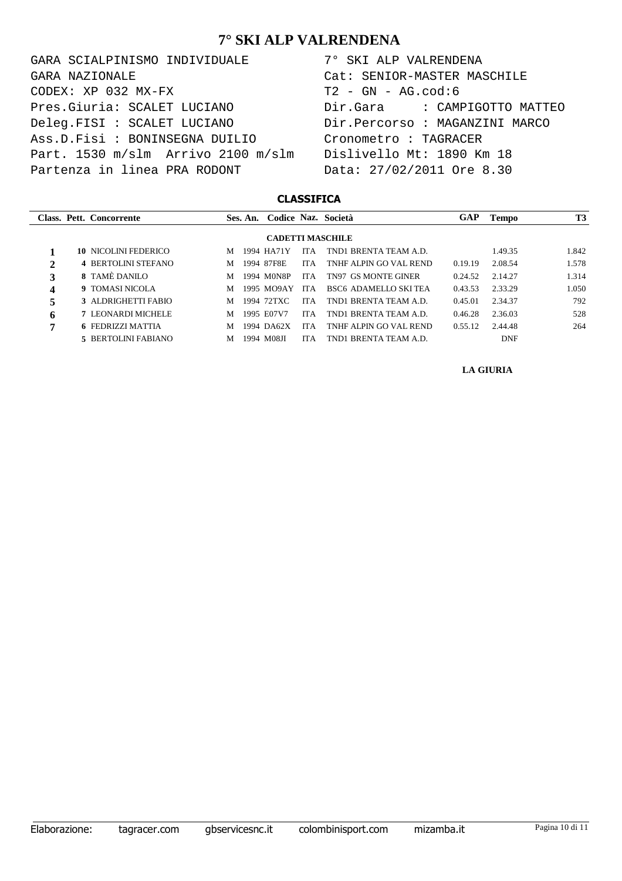GARA SCIALPINISMO INDIVIDUALE 7° SKI ALP VALRENDENA  $CODEX: XP 032 MX-FX$  T2 - GN - AG.cod:6 Pres.Giuria: SCALET LUCIANO Dir.Gara : CAMPIGOTTO MATTEO Deleg.FISI : SCALET LUCIANO Dir.Percorso : MAGANZINI MARCO Ass.D.Fisi : BONINSEGNA DUILIO Cronometro : TAGRACER Part. 1530 m/slm Arrivo 2100 m/slm Dislivello Mt: 1890 Km 18 Partenza in linea PRA RODONT Data: 27/02/2011 Ore 8.30 GARA NAZIONALE Cat: SENIOR-MASTER MASCHILE

#### **CLASSIFICA**

|                         |  | Class. Pett. Concorrente    |   |  | Ses. An. Codice Naz. Società |            |                             | GAP     | <b>Tempo</b> | T3    |  |
|-------------------------|--|-----------------------------|---|--|------------------------------|------------|-----------------------------|---------|--------------|-------|--|
| <b>CADETTI MASCHILE</b> |  |                             |   |  |                              |            |                             |         |              |       |  |
|                         |  | <b>10 NICOLINI FEDERICO</b> | м |  | 1994 HA71Y                   | <b>ITA</b> | TND1 BRENTA TEAM A.D.       |         | 1.49.35      | 1.842 |  |
| 2                       |  | <b>4 BERTOLINI STEFANO</b>  | M |  | 1994 87F8E                   | <b>ITA</b> | TNHE ALPIN GO VAL REND      | 0.19.19 | 2.08.54      | 1.578 |  |
| 3                       |  | <b>8 TAMÈ DANILO</b>        | M |  | 1994 M0N8P                   | ITA.       | <b>TN97 GS MONTE GINER</b>  | 0.24.52 | 2.14.27      | 1.314 |  |
| 4                       |  | <b>9 TOMASI NICOLA</b>      | M |  | 1995 MO9AY                   | ITA        | <b>BSC6 ADAMELLO SKITEA</b> | 0.43.53 | 2.33.29      | 1.050 |  |
|                         |  | 3 ALDRIGHETTI FABIO         | M |  | 1994 72TXC                   | <b>ITA</b> | TND1 BRENTA TEAM A.D.       | 0.45.01 | 2.34.37      | 792   |  |
| 6                       |  | <b>7 LEONARDI MICHELE</b>   | M |  | 1995 E07V7                   | <b>ITA</b> | TND1 BRENTA TEAM A.D.       | 0.46.28 | 2.36.03      | 528   |  |
| 7                       |  | <b>6 FEDRIZZI MATTIA</b>    | M |  | 1994 DA62X                   | <b>ITA</b> | TNHE ALPIN GO VAL REND      | 0.55.12 | 2.44.48      | 264   |  |
|                         |  | 5 BERTOLINI FABIANO         | М |  | 1994 M08JI                   | <b>ITA</b> | TND1 BRENTA TEAM A.D.       |         | <b>DNF</b>   |       |  |